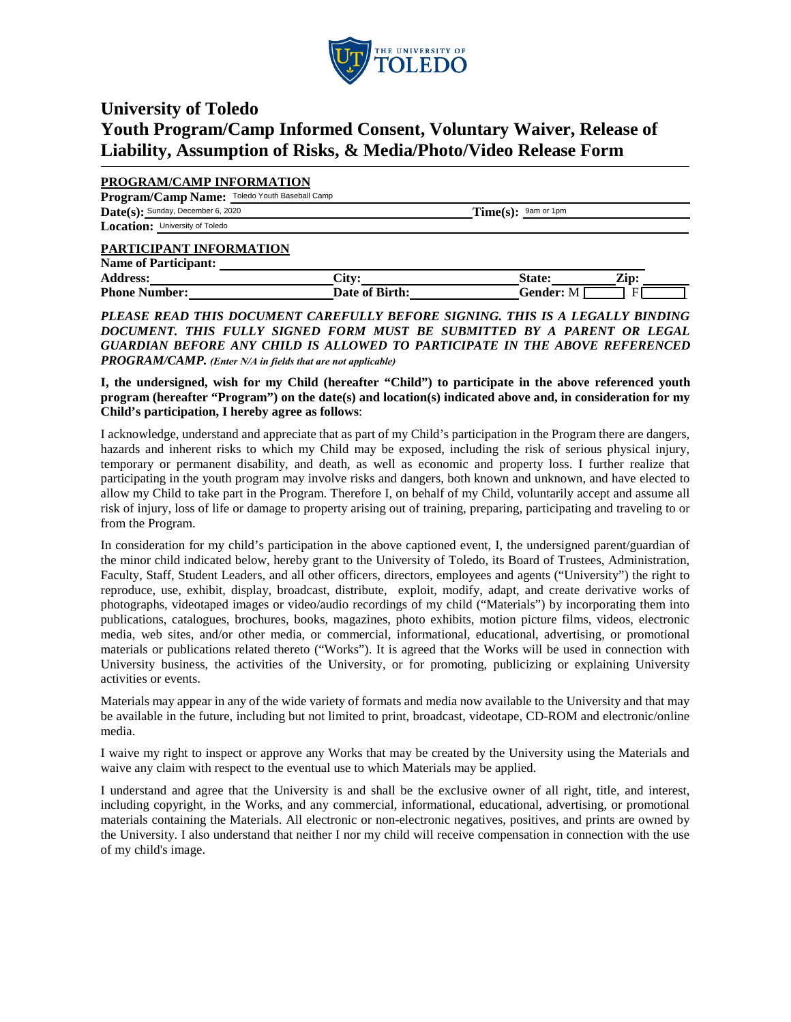

## **University of Toledo Youth Program/Camp Informed Consent, Voluntary Waiver, Release of Liability, Assumption of Risks, & Media/Photo/Video Release Form**

## **PROGRAM/CAMP INFORMATION**

| Program/Camp Name: Toledo Youth Baseball Camp                                                                                                                                                                                        |                       |
|--------------------------------------------------------------------------------------------------------------------------------------------------------------------------------------------------------------------------------------|-----------------------|
| $\textbf{Date}(s)$ : Sunday, December 6, 2020                                                                                                                                                                                        | $Time(s):$ 9am or 1pm |
| Location: University of Toledo                                                                                                                                                                                                       |                       |
| <b>DI DEL CERISTE DE LA CONSTITUTION DE LA CONTINUALE DE LA CONTINUALE DE LA CONTINUALE DE LA CONTINUALE DE LA CONTINUALE DE LA CONTINUALE DE LA CONTINUALE DE LA CONTINUALE DE LA CONTINUALE DE LA CONTINUALE DE LA CONTINUALE </b> |                       |

## **PARTICIPANT INFORMATION Name of Participant:**

| Name of Participant: |                |                             |      |  |
|----------------------|----------------|-----------------------------|------|--|
| <b>Address:</b>      | Citv:          |                             | Zip: |  |
| <b>Phone Number:</b> | Date of Birth: | . <del>.`</del> ender:<br>M |      |  |

*PLEASE READ THIS DOCUMENT CAREFULLY BEFORE SIGNING. THIS IS A LEGALLY BINDING DOCUMENT. THIS FULLY SIGNED FORM MUST BE SUBMITTED BY A PARENT OR LEGAL*  GUARDIAN BEFORE ANY CHILD IS ALLOWED TO PARTICIPATE IN THE ABOVE REFERENCED *PROGRAM/CAMP. (Enter N/A in fields that are not applicable)*

**I, the undersigned, wish for my Child (hereafter "Child") to participate in the above referenced youth program (hereafter "Program") on the date(s) and location(s) indicated above and, in consideration for my Child's participation, I hereby agree as follows**:

I acknowledge, understand and appreciate that as part of my Child's participation in the Program there are dangers, hazards and inherent risks to which my Child may be exposed, including the risk of serious physical injury, temporary or permanent disability, and death, as well as economic and property loss. I further realize that participating in the youth program may involve risks and dangers, both known and unknown, and have elected to allow my Child to take part in the Program. Therefore I, on behalf of my Child, voluntarily accept and assume all risk of injury, loss of life or damage to property arising out of training, preparing, participating and traveling to or from the Program.

In consideration for my child's participation in the above captioned event, I, the undersigned parent/guardian of the minor child indicated below, hereby grant to the University of Toledo, its Board of Trustees, Administration, Faculty, Staff, Student Leaders, and all other officers, directors, employees and agents ("University") the right to reproduce, use, exhibit, display, broadcast, distribute, exploit, modify, adapt, and create derivative works of photographs, videotaped images or video/audio recordings of my child ("Materials") by incorporating them into publications, catalogues, brochures, books, magazines, photo exhibits, motion picture films, videos, electronic media, web sites, and/or other media, or commercial, informational, educational, advertising, or promotional materials or publications related thereto ("Works"). It is agreed that the Works will be used in connection with University business, the activities of the University, or for promoting, publicizing or explaining University activities or events.

Materials may appear in any of the wide variety of formats and media now available to the University and that may be available in the future, including but not limited to print, broadcast, videotape, CD-ROM and electronic/online media.

I waive my right to inspect or approve any Works that may be created by the University using the Materials and waive any claim with respect to the eventual use to which Materials may be applied.

I understand and agree that the University is and shall be the exclusive owner of all right, title, and interest, including copyright, in the Works, and any commercial, informational, educational, advertising, or promotional materials containing the Materials. All electronic or non-electronic negatives, positives, and prints are owned by the University. I also understand that neither I nor my child will receive compensation in connection with the use of my child's image.